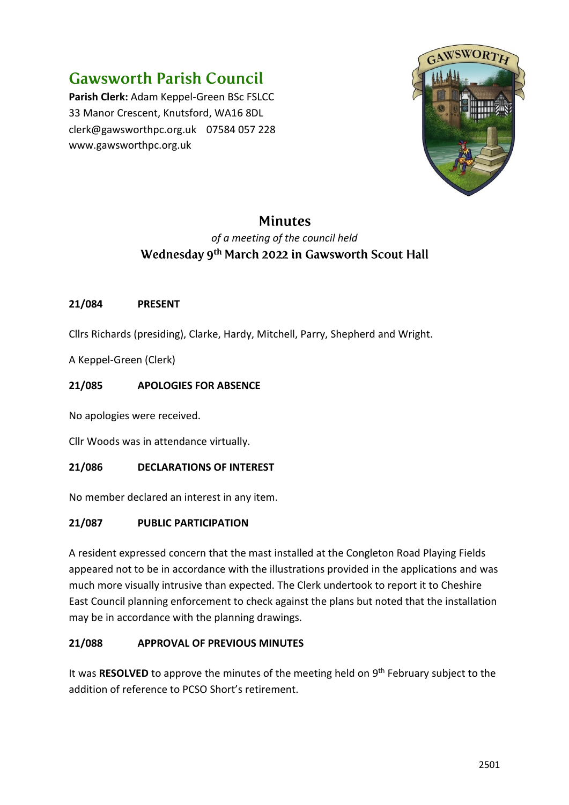# **Gawsworth Parish Council**

**Parish Clerk:** Adam Keppel-Green BSc FSLCC 33 Manor Crescent, Knutsford, WA16 8DL clerk@gawsworthpc.org.uk 07584 057 228 www.gawsworthpc.org.uk



## **Minutes**

### *of a meeting of the council held* Wednesday 9<sup>th</sup> March 2022 in Gawsworth Scout Hall

#### **21/084 PRESENT**

Cllrs Richards (presiding), Clarke, Hardy, Mitchell, Parry, Shepherd and Wright.

A Keppel-Green (Clerk)

#### **21/085 APOLOGIES FOR ABSENCE**

No apologies were received.

Cllr Woods was in attendance virtually.

#### **21/086 DECLARATIONS OF INTEREST**

No member declared an interest in any item.

#### **21/087 PUBLIC PARTICIPATION**

A resident expressed concern that the mast installed at the Congleton Road Playing Fields appeared not to be in accordance with the illustrations provided in the applications and was much more visually intrusive than expected. The Clerk undertook to report it to Cheshire East Council planning enforcement to check against the plans but noted that the installation may be in accordance with the planning drawings.

#### **21/088 APPROVAL OF PREVIOUS MINUTES**

It was RESOLVED to approve the minutes of the meeting held on 9<sup>th</sup> February subject to the addition of reference to PCSO Short's retirement.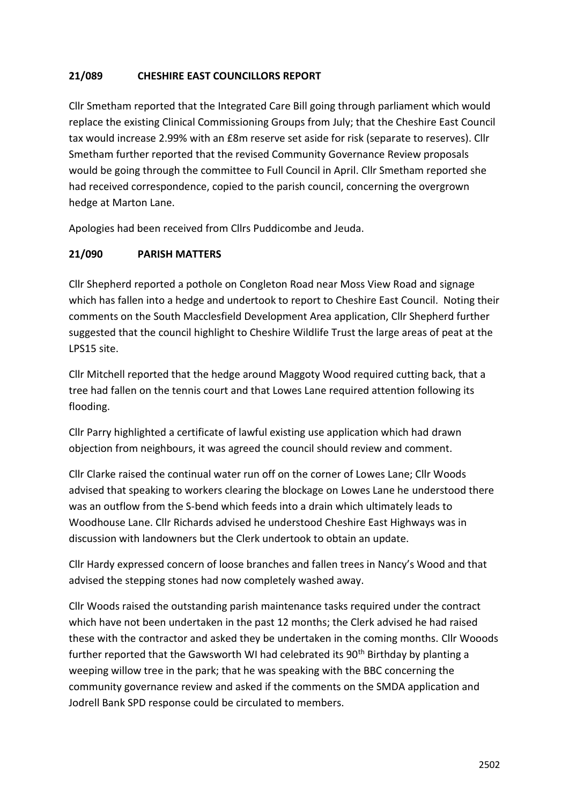#### **21/089 CHESHIRE EAST COUNCILLORS REPORT**

Cllr Smetham reported that the Integrated Care Bill going through parliament which would replace the existing Clinical Commissioning Groups from July; that the Cheshire East Council tax would increase 2.99% with an £8m reserve set aside for risk (separate to reserves). Cllr Smetham further reported that the revised Community Governance Review proposals would be going through the committee to Full Council in April. Cllr Smetham reported she had received correspondence, copied to the parish council, concerning the overgrown hedge at Marton Lane.

Apologies had been received from Cllrs Puddicombe and Jeuda.

#### **21/090 PARISH MATTERS**

Cllr Shepherd reported a pothole on Congleton Road near Moss View Road and signage which has fallen into a hedge and undertook to report to Cheshire East Council. Noting their comments on the South Macclesfield Development Area application, Cllr Shepherd further suggested that the council highlight to Cheshire Wildlife Trust the large areas of peat at the LPS15 site.

Cllr Mitchell reported that the hedge around Maggoty Wood required cutting back, that a tree had fallen on the tennis court and that Lowes Lane required attention following its flooding.

Cllr Parry highlighted a certificate of lawful existing use application which had drawn objection from neighbours, it was agreed the council should review and comment.

Cllr Clarke raised the continual water run off on the corner of Lowes Lane; Cllr Woods advised that speaking to workers clearing the blockage on Lowes Lane he understood there was an outflow from the S-bend which feeds into a drain which ultimately leads to Woodhouse Lane. Cllr Richards advised he understood Cheshire East Highways was in discussion with landowners but the Clerk undertook to obtain an update.

Cllr Hardy expressed concern of loose branches and fallen trees in Nancy's Wood and that advised the stepping stones had now completely washed away.

Cllr Woods raised the outstanding parish maintenance tasks required under the contract which have not been undertaken in the past 12 months; the Clerk advised he had raised these with the contractor and asked they be undertaken in the coming months. Cllr Wooods further reported that the Gawsworth WI had celebrated its  $90<sup>th</sup>$  Birthday by planting a weeping willow tree in the park; that he was speaking with the BBC concerning the community governance review and asked if the comments on the SMDA application and Jodrell Bank SPD response could be circulated to members.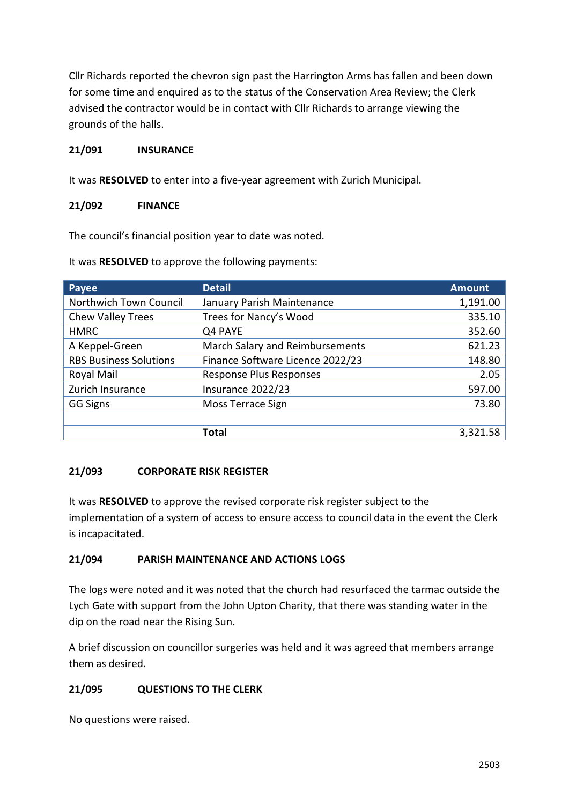Cllr Richards reported the chevron sign past the Harrington Arms has fallen and been down for some time and enquired as to the status of the Conservation Area Review; the Clerk advised the contractor would be in contact with Cllr Richards to arrange viewing the grounds of the halls.

#### **21/091 INSURANCE**

It was **RESOLVED** to enter into a five-year agreement with Zurich Municipal.

#### **21/092 FINANCE**

The council's financial position year to date was noted.

It was **RESOLVED** to approve the following payments:

| Payee                         | <b>Detail</b>                    | <b>Amount</b> |
|-------------------------------|----------------------------------|---------------|
| Northwich Town Council        | January Parish Maintenance       | 1,191.00      |
| Chew Valley Trees             | Trees for Nancy's Wood           | 335.10        |
| <b>HMRC</b>                   | Q4 PAYE                          | 352.60        |
| A Keppel-Green                | March Salary and Reimbursements  | 621.23        |
| <b>RBS Business Solutions</b> | Finance Software Licence 2022/23 | 148.80        |
| Royal Mail                    | Response Plus Responses          | 2.05          |
| Zurich Insurance              | Insurance 2022/23                | 597.00        |
| <b>GG Signs</b>               | Moss Terrace Sign                | 73.80         |
|                               |                                  |               |
|                               | <b>Total</b>                     | 3,321.58      |

#### **21/093 CORPORATE RISK REGISTER**

It was **RESOLVED** to approve the revised corporate risk register subject to the implementation of a system of access to ensure access to council data in the event the Clerk is incapacitated.

#### **21/094 PARISH MAINTENANCE AND ACTIONS LOGS**

The logs were noted and it was noted that the church had resurfaced the tarmac outside the Lych Gate with support from the John Upton Charity, that there was standing water in the dip on the road near the Rising Sun.

A brief discussion on councillor surgeries was held and it was agreed that members arrange them as desired.

#### **21/095 QUESTIONS TO THE CLERK**

No questions were raised.